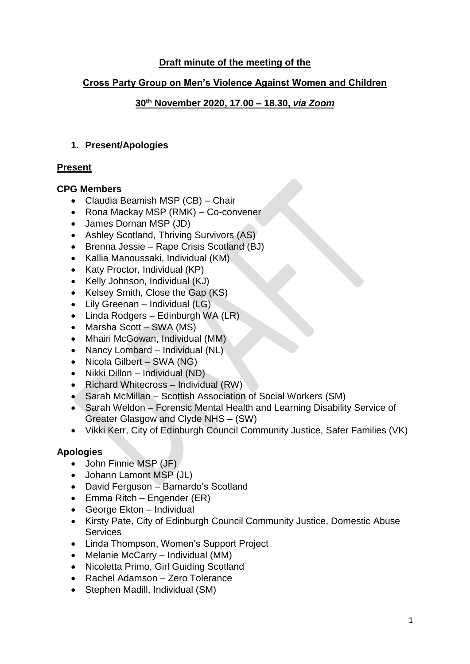## **Draft minute of the meeting of the**

## **Cross Party Group on Men's Violence Against Women and Children**

## **30th November 2020, 17.00 – 18.30,** *via Zoom*

## **1. Present/Apologies**

## **Present**

## **CPG Members**

- Claudia Beamish MSP (CB) Chair
- Rona Mackay MSP (RMK) Co-convener
- James Dornan MSP (JD)
- Ashley Scotland, Thriving Survivors (AS)
- Brenna Jessie Rape Crisis Scotland (BJ)
- Kallia Manoussaki, Individual (KM)
- Katy Proctor, Individual (KP)
- Kelly Johnson, Individual (KJ)
- Kelsey Smith, Close the Gap (KS)
- Lily Greenan Individual (LG)
- Linda Rodgers Edinburgh WA (LR)
- Marsha Scott SWA (MS)
- Mhairi McGowan, Individual (MM)
- Nancy Lombard Individual (NL)
- Nicola Gilbert SWA (NG)
- Nikki Dillon Individual (ND)
- Richard Whitecross Individual (RW)
- Sarah McMillan Scottish Association of Social Workers (SM)
- Sarah Weldon Forensic Mental Health and Learning Disability Service of Greater Glasgow and Clyde NHS – (SW)
- Vikki Kerr, City of Edinburgh Council Community Justice, Safer Families (VK)

# **Apologies**

- John Finnie MSP (JF).
- Johann Lamont MSP (JL)
- David Ferguson Barnardo's Scotland
- Emma Ritch Engender (ER)
- George Ekton Individual
- Kirsty Pate, City of Edinburgh Council Community Justice, Domestic Abuse **Services**
- Linda Thompson, Women's Support Project
- Melanie McCarry Individual (MM)
- Nicoletta Primo, Girl Guiding Scotland
- Rachel Adamson Zero Tolerance
- Stephen Madill, Individual (SM)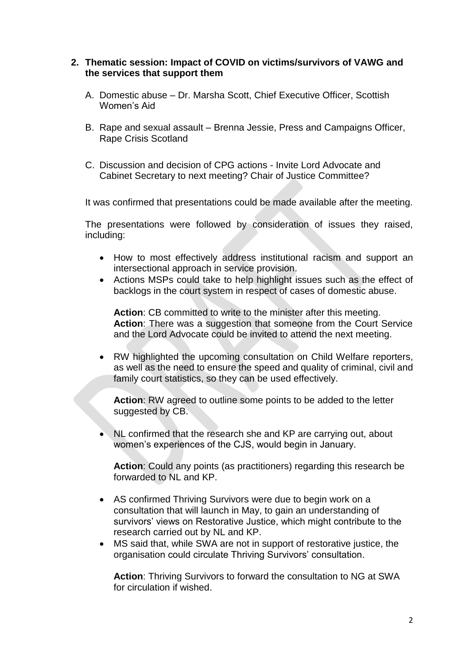#### **2. Thematic session: Impact of COVID on victims/survivors of VAWG and the services that support them**

- A. Domestic abuse Dr. Marsha Scott, Chief Executive Officer, Scottish Women's Aid
- B. Rape and sexual assault Brenna Jessie, Press and Campaigns Officer, Rape Crisis Scotland
- C. Discussion and decision of CPG actions Invite Lord Advocate and Cabinet Secretary to next meeting? Chair of Justice Committee?

It was confirmed that presentations could be made available after the meeting.

The presentations were followed by consideration of issues they raised, including:

- How to most effectively address institutional racism and support an intersectional approach in service provision.
- Actions MSPs could take to help highlight issues such as the effect of backlogs in the court system in respect of cases of domestic abuse.

**Action**: CB committed to write to the minister after this meeting. **Action**: There was a suggestion that someone from the Court Service and the Lord Advocate could be invited to attend the next meeting.

• RW highlighted the upcoming consultation on Child Welfare reporters, as well as the need to ensure the speed and quality of criminal, civil and family court statistics, so they can be used effectively.

**Action**: RW agreed to outline some points to be added to the letter suggested by CB.

• NL confirmed that the research she and KP are carrying out, about women's experiences of the CJS, would begin in January.

**Action**: Could any points (as practitioners) regarding this research be forwarded to NL and KP.

- AS confirmed Thriving Survivors were due to begin work on a consultation that will launch in May, to gain an understanding of survivors' views on Restorative Justice, which might contribute to the research carried out by NL and KP.
- MS said that, while SWA are not in support of restorative justice, the organisation could circulate Thriving Survivors' consultation.

**Action**: Thriving Survivors to forward the consultation to NG at SWA for circulation if wished.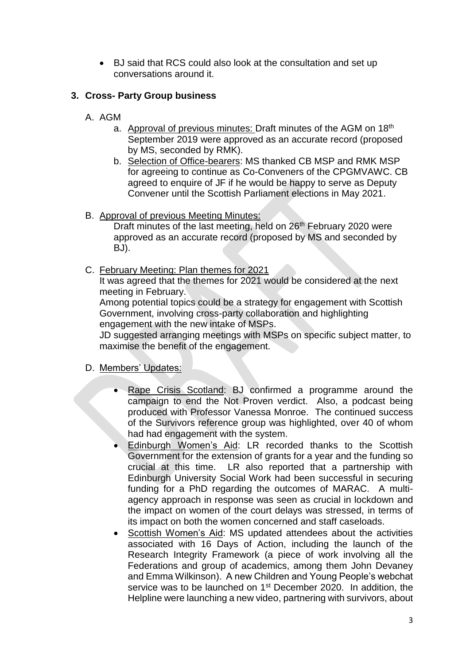• BJ said that RCS could also look at the consultation and set up conversations around it.

## **3. Cross- Party Group business**

- A. AGM
	- a. Approval of previous minutes: Draft minutes of the AGM on 18<sup>th</sup> September 2019 were approved as an accurate record (proposed by MS, seconded by RMK).
	- b. Selection of Office-bearers: MS thanked CB MSP and RMK MSP for agreeing to continue as Co-Conveners of the CPGMVAWC. CB agreed to enquire of JF if he would be happy to serve as Deputy Convener until the Scottish Parliament elections in May 2021.
- B. Approval of previous Meeting Minutes:

Draft minutes of the last meeting, held on 26<sup>th</sup> February 2020 were approved as an accurate record (proposed by MS and seconded by BJ).

C. February Meeting: Plan themes for 2021

It was agreed that the themes for 2021 would be considered at the next meeting in February.

Among potential topics could be a strategy for engagement with Scottish Government, involving cross-party collaboration and highlighting engagement with the new intake of MSPs.

JD suggested arranging meetings with MSPs on specific subject matter, to maximise the benefit of the engagement.

- D. Members' Updates:
	- Rape Crisis Scotland: BJ confirmed a programme around the campaign to end the Not Proven verdict. Also, a podcast being produced with Professor Vanessa Monroe. The continued success of the Survivors reference group was highlighted, over 40 of whom had had engagement with the system.
	- Edinburgh Women's Aid: LR recorded thanks to the Scottish Government for the extension of grants for a year and the funding so crucial at this time. LR also reported that a partnership with Edinburgh University Social Work had been successful in securing funding for a PhD regarding the outcomes of MARAC. A multiagency approach in response was seen as crucial in lockdown and the impact on women of the court delays was stressed, in terms of its impact on both the women concerned and staff caseloads.
	- Scottish Women's Aid: MS updated attendees about the activities associated with 16 Days of Action, including the launch of the Research Integrity Framework (a piece of work involving all the Federations and group of academics, among them John Devaney and Emma Wilkinson). A new Children and Young People's webchat service was to be launched on 1<sup>st</sup> December 2020. In addition, the Helpline were launching a new video, partnering with survivors, about